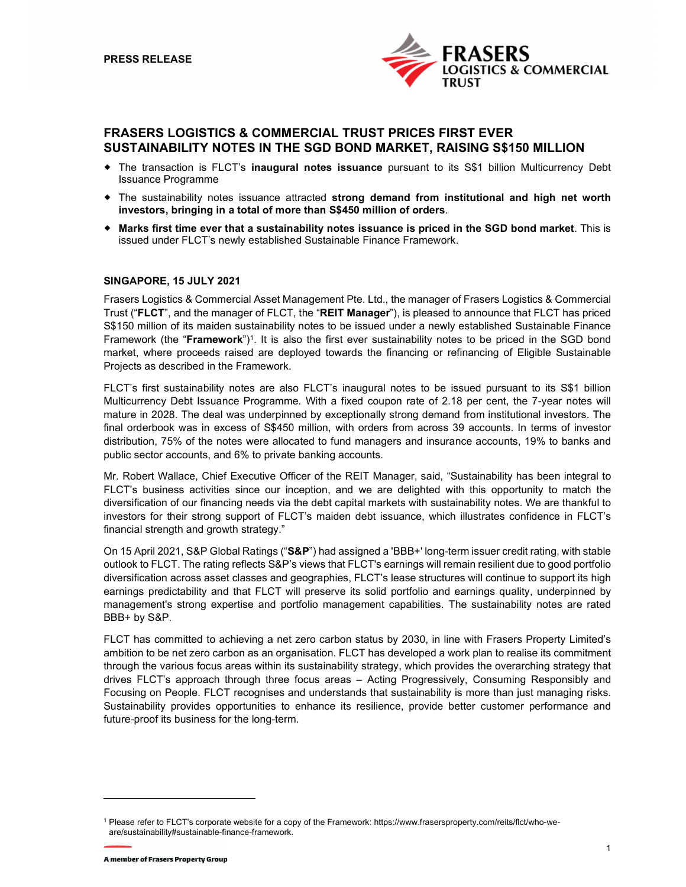

# FRASERS LOGISTICS & COMMERCIAL TRUST PRICES FIRST EVER SUSTAINABILITY NOTES IN THE SGD BOND MARKET, RAISING S\$150 MILLION

- The transaction is FLCT's inaugural notes issuance pursuant to its S\$1 billion Multicurrency Debt Issuance Programme
- The sustainability notes issuance attracted strong demand from institutional and high net worth investors, bringing in a total of more than S\$450 million of orders.
- Marks first time ever that a sustainability notes issuance is priced in the SGD bond market. This is issued under FLCT's newly established Sustainable Finance Framework.

## SINGAPORE, 15 JULY 2021

Frasers Logistics & Commercial Asset Management Pte. Ltd., the manager of Frasers Logistics & Commercial Trust ("FLCT", and the manager of FLCT, the "REIT Manager"), is pleased to announce that FLCT has priced S\$150 million of its maiden sustainability notes to be issued under a newly established Sustainable Finance Framework (the "**Framework**")<sup>1</sup>. It is also the first ever sustainability notes to be priced in the SGD bond market, where proceeds raised are deployed towards the financing or refinancing of Eligible Sustainable Projects as described in the Framework.

FLCT's first sustainability notes are also FLCT's inaugural notes to be issued pursuant to its S\$1 billion Multicurrency Debt Issuance Programme. With a fixed coupon rate of 2.18 per cent, the 7-year notes will mature in 2028. The deal was underpinned by exceptionally strong demand from institutional investors. The final orderbook was in excess of S\$450 million, with orders from across 39 accounts. In terms of investor distribution, 75% of the notes were allocated to fund managers and insurance accounts, 19% to banks and public sector accounts, and 6% to private banking accounts.

Mr. Robert Wallace, Chief Executive Officer of the REIT Manager, said, "Sustainability has been integral to FLCT's business activities since our inception, and we are delighted with this opportunity to match the diversification of our financing needs via the debt capital markets with sustainability notes. We are thankful to investors for their strong support of FLCT's maiden debt issuance, which illustrates confidence in FLCT's financial strength and growth strategy."

On 15 April 2021, S&P Global Ratings ("S&P") had assigned a 'BBB+' long-term issuer credit rating, with stable outlook to FLCT. The rating reflects S&P's views that FLCT's earnings will remain resilient due to good portfolio diversification across asset classes and geographies, FLCT's lease structures will continue to support its high earnings predictability and that FLCT will preserve its solid portfolio and earnings quality, underpinned by management's strong expertise and portfolio management capabilities. The sustainability notes are rated BBB+ by S&P.

FLCT has committed to achieving a net zero carbon status by 2030, in line with Frasers Property Limited's ambition to be net zero carbon as an organisation. FLCT has developed a work plan to realise its commitment through the various focus areas within its sustainability strategy, which provides the overarching strategy that drives FLCT's approach through three focus areas – Acting Progressively, Consuming Responsibly and Focusing on People. FLCT recognises and understands that sustainability is more than just managing risks. Sustainability provides opportunities to enhance its resilience, provide better customer performance and future-proof its business for the long-term. 1

Please refer to FLCT's corporate website for a copy of the Framework: https://www.frasersproperty.com/reits/flct/who-weare/sustainability#sustainable-finance-framework.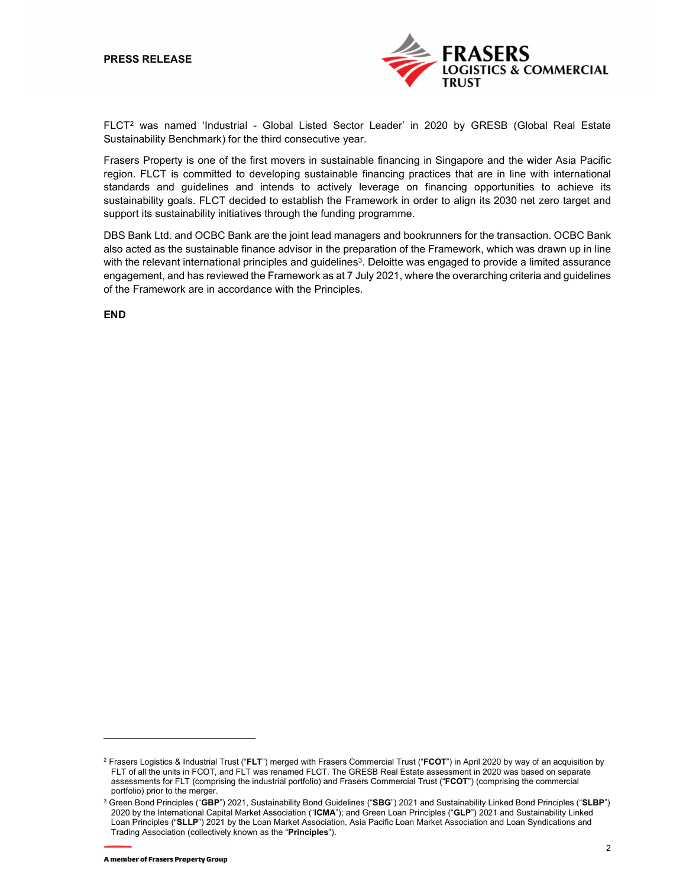

FLCT2 was named 'Industrial - Global Listed Sector Leader' in 2020 by GRESB (Global Real Estate Sustainability Benchmark) for the third consecutive year.

Frasers Property is one of the first movers in sustainable financing in Singapore and the wider Asia Pacific region. FLCT is committed to developing sustainable financing practices that are in line with international standards and guidelines and intends to actively leverage on financing opportunities to achieve its sustainability goals. FLCT decided to establish the Framework in order to align its 2030 net zero target and support its sustainability initiatives through the funding programme.

DBS Bank Ltd. and OCBC Bank are the joint lead managers and bookrunners for the transaction. OCBC Bank also acted as the sustainable finance advisor in the preparation of the Framework, which was drawn up in line with the relevant international principles and guidelines<sup>3</sup>. Deloitte was engaged to provide a limited assurance engagement, and has reviewed the Framework as at 7 July 2021, where the overarching criteria and guidelines of the Framework are in accordance with the Principles.

END

 $^2$  Frasers Logistics & Industrial Trust ("**FLT**") merged with Frasers Commercial Trust ("**FCOT**") in April 2020 by way of an acquisition by FLT of all the units in FCOT, and FLT was renamed FLCT. The GRESB Real Estate assessment in 2020 was based on separate assessments for FLT (comprising the industrial portfolio) and Frasers Commercial Trust ("FCOT") (comprising the commercial portfolio) prior to the merger.<br><sup>3</sup> Green Bond Principles ("**GBP**") 2021, Sustainability Bond Guidelines ("**SBG**") 2021 and Sustainability Linked Bond Principles ("**SLBP**")

<sup>2020</sup> by the International Capital Market Association ("ICMA"); and Green Loan Principles ("GLP") 2021 and Sustainability Linked Loan Principles ("SLLP") 2021 by the Loan Market Association, Asia Pacific Loan Market Association and Loan Syndications and Trading Association (collectively known as the "Principles").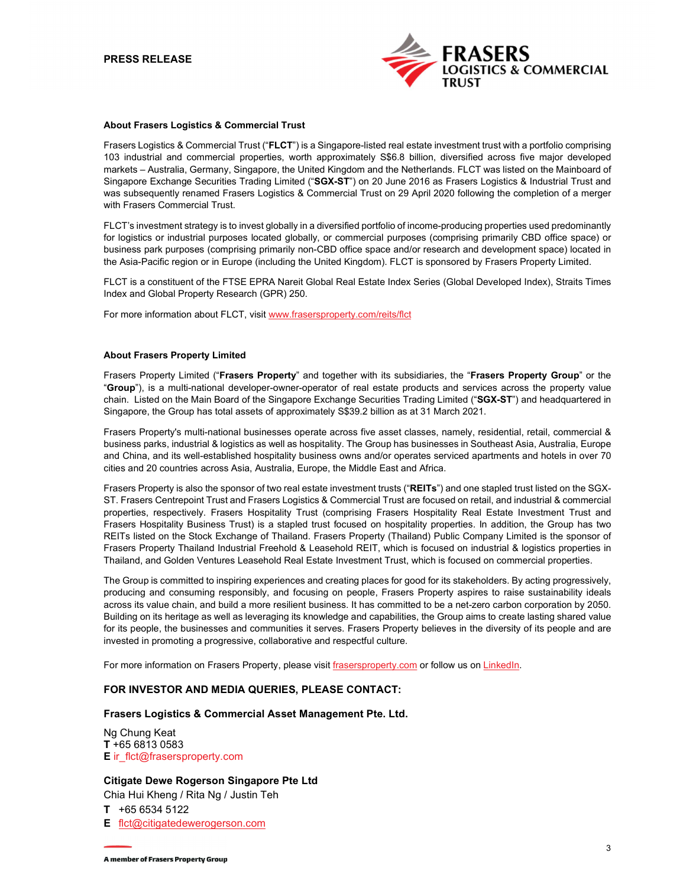

#### About Frasers Logistics & Commercial Trust

Frasers Logistics & Commercial Trust ("FLCT") is a Singapore-listed real estate investment trust with a portfolio comprising 103 industrial and commercial properties, worth approximately S\$6.8 billion, diversified across five major developed markets – Australia, Germany, Singapore, the United Kingdom and the Netherlands. FLCT was listed on the Mainboard of Singapore Exchange Securities Trading Limited ("SGX-ST") on 20 June 2016 as Frasers Logistics & Industrial Trust and was subsequently renamed Frasers Logistics & Commercial Trust on 29 April 2020 following the completion of a merger with Frasers Commercial Trust.

FLCT's investment strategy is to invest globally in a diversified portfolio of income-producing properties used predominantly for logistics or industrial purposes located globally, or commercial purposes (comprising primarily CBD office space) or business park purposes (comprising primarily non-CBD office space and/or research and development space) located in the Asia-Pacific region or in Europe (including the United Kingdom). FLCT is sponsored by Frasers Property Limited.

FLCT is a constituent of the FTSE EPRA Nareit Global Real Estate Index Series (Global Developed Index), Straits Times Index and Global Property Research (GPR) 250.

For more information about FLCT, visit www.frasersproperty.com/reits/flct

### About Frasers Property Limited

Frasers Property Limited ("Frasers Property" and together with its subsidiaries, the "Frasers Property Group" or the<br>"Group"), is a multi-national developer-owner-operator of real estate products and services across the pr chain. Listed on the Main Board of the Singapore Exchange Securities Trading Limited ("SGX-ST") and headquartered in Singapore, the Group has total assets of approximately S\$39.2 billion as at 31 March 2021.

Frasers Property's multi-national businesses operate across five asset classes, namely, residential, retail, commercial & business parks, industrial & logistics as well as hospitality. The Group has businesses in Southeast Asia, Australia, Europe and China, and its well-established hospitality business owns and/or operates serviced apartments and hotels in over 70 cities and 20 countries across Asia, Australia, Europe, the Middle East and Africa.

Frasers Property is also the sponsor of two real estate investment trusts ("REITs") and one stapled trust listed on the SGX-ST. Frasers Centrepoint Trust and Frasers Logistics & Commercial Trust are focused on retail, and industrial & commercial properties, respectively. Frasers Hospitality Trust (comprising Frasers Hospitality Real Estate Investment Trust and Frasers Hospitality Business Trust) is a stapled trust focused on hospitality properties. In addition, the Group has two REITs listed on the Stock Exchange of Thailand. Frasers Property (Thailand) Public Company Limited is the sponsor of Frasers Property Thailand Industrial Freehold & Leasehold REIT, which is focused on industrial & logistics properties in Thailand, and Golden Ventures Leasehold Real Estate Investment Trust, which is focused on commercial properties.

The Group is committed to inspiring experiences and creating places for good for its stakeholders. By acting progressively, producing and consuming responsibly, and focusing on people, Frasers Property aspires to raise sustainability ideals across its value chain, and build a more resilient business. It has committed to be a net-zero carbon corporation by 2050. Building on its heritage as well as leveraging its knowledge and capabilities, the Group aims to create lasting shared value for its people, the businesses and communities it serves. Frasers Property believes in the diversity of its people and are invested in promoting a progressive, collaborative and respectful culture.

For more information on Frasers Property, please visit frasersproperty.com or follow us on LinkedIn.

## FOR INVESTOR AND MEDIA QUERIES, PLEASE CONTACT:

## Frasers Logistics & Commercial Asset Management Pte. Ltd.

Ng Chung Keat T +65 6813 0583 E ir\_flct@frasersproperty.com

### Citigate Dewe Rogerson Singapore Pte Ltd

Chia Hui Kheng / Rita Ng / Justin Teh T +65 6534 5122

E flct@citigatedewerogerson.com